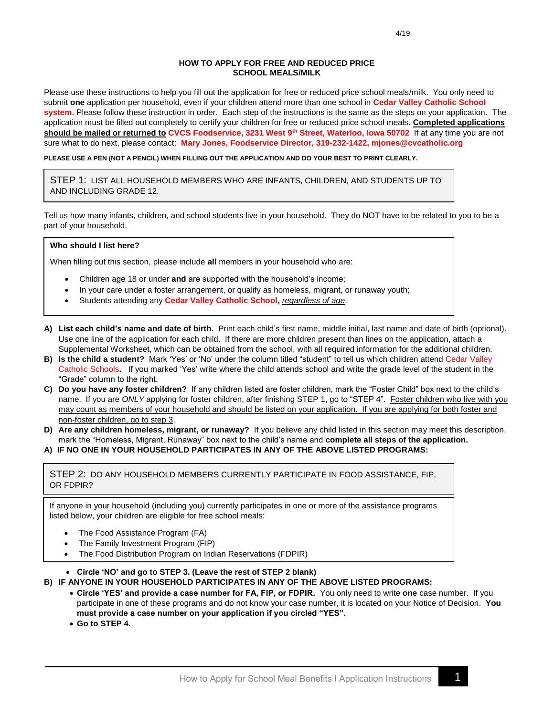#### **HOW TO APPLY FOR FREE AND REDUCED PRICE SCHOOL MEALS/MILK**

Please use these instructions to help you fill out the application for free or reduced price school meals/milk. You only need to submit **one** application per household, even if your children attend more than one school in **Cedar Valley Catholic School system.** Please follow these instruction in order. Each step of the instructions is the same as the steps on your application. The application must be filled out completely to certify your children for free or reduced price school meals. **Completed applications should be mailed or returned to CVCS Foodservice, 3231 West 9th Street, Waterloo, Iowa 50702** If at any time you are not sure what to do next, please contact: **Mary Jones, Foodservice Director, 319-232-1422, mjones@cvcatholic.org**

**PLEASE USE A PEN (NOT A PENCIL) WHEN FILLING OUT THE APPLICATION AND DO YOUR BEST TO PRINT CLEARLY.**

STEP 1: LIST ALL HOUSEHOLD MEMBERS WHO ARE INFANTS, CHILDREN, AND STUDENTS UP TO AND INCLUDING GRADE 12.

Tell us how many infants, children, and school students live in your household. They do NOT have to be related to you to be a part of your household.

#### **Who should I list here?**

When filling out this section, please include **all** members in your household who are:

- Children age 18 or under **and** are supported with the household's income;
- In your care under a foster arrangement, or qualify as homeless, migrant, or runaway youth;
- Students attending any **Cedar Valley Catholic School,** *regardless of age*.
- **A) List each child's name and date of birth.** Print each child's first name, middle initial, last name and date of birth (optional). Use one line of the application for each child. If there are more children present than lines on the application, attach a Supplemental Worksheet, which can be obtained from the school, with all required information for the additional children.
- **B) Is the child a student?** Mark 'Yes' or 'No' under the column titled "student" to tell us which children attend Cedar Valley Catholic Schools**.** If you marked 'Yes' write where the child attends school and write the grade level of the student in the "Grade" column to the right.
- **C) Do you have any foster children?** If any children listed are foster children, mark the "Foster Child" box next to the child's name. If you are *ONLY* applying for foster children, after finishing STEP 1, go to "STEP 4". Foster children who live with you may count as members of your household and should be listed on your application. If you are applying for both foster and non-foster children, go to step 3.
- **D) Are any children homeless, migrant, or runaway?** If you believe any child listed in this section may meet this description, mark the "Homeless, Migrant, Runaway" box next to the child's name and **complete all steps of the application.**
- **A) IF NO ONE IN YOUR HOUSEHOLD PARTICIPATES IN ANY OF THE ABOVE LISTED PROGRAMS:**

STEP 2: DO ANY HOUSEHOLD MEMBERS CURRENTLY PARTICIPATE IN FOOD ASSISTANCE, FIP, OR FDPIR?

If anyone in your household (including you) currently participates in one or more of the assistance programs listed below, your children are eligible for free school meals:

- The Food Assistance Program (FA)
- The Family Investment Program (FIP)
- The Food Distribution Program on Indian Reservations (FDPIR)

• **Circle 'NO' and go to STEP 3. (Leave the rest of STEP 2 blank)**

- **B) IF ANYONE IN YOUR HOUSEHOLD PARTICIPATES IN ANY OF THE ABOVE LISTED PROGRAMS:**
	- **Circle 'YES' and provide a case number for FA, FIP, or FDPIR.** You only need to write **one** case number. If you participate in one of these programs and do not know your case number, it is located on your Notice of Decision. **You must provide a case number on your application if you circled "YES".**
	- **Go to STEP 4.**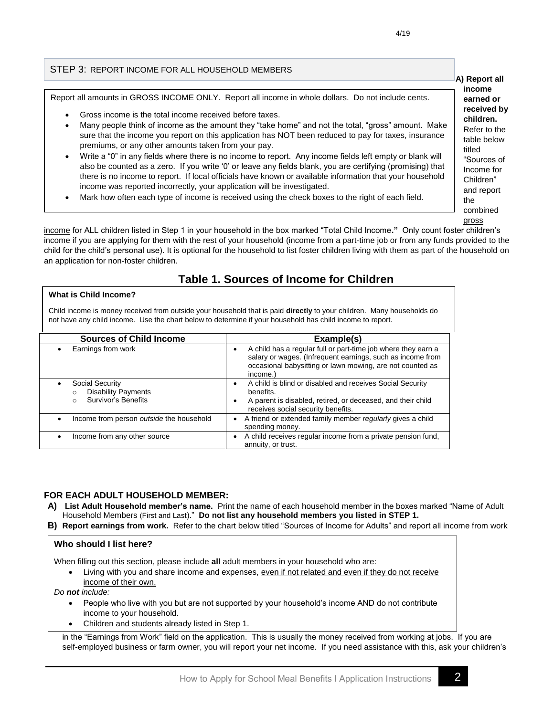**A) Report all income earned or received by children.**  Refer to the table below titled

> "Sources of Income for Children" and report

the combined gross

### STEP 3: REPORT INCOME FOR ALL HOUSEHOLD MEMBERS

Report all amounts in GROSS INCOME ONLY. Report all income in whole dollars. Do not include cents.

- Gross income is the total income received before taxes.
- Many people think of income as the amount they "take home" and not the total, "gross" amount. Make sure that the income you report on this application has NOT been reduced to pay for taxes, insurance premiums, or any other amounts taken from your pay.
- Write a "0" in any fields where there is no income to report. Any income fields left empty or blank will also be counted as a zero. If you write '0' or leave any fields blank, you are certifying (promising) that there is no income to report. If local officials have known or available information that your household income was reported incorrectly, your application will be investigated.
- Mark how often each type of income is received using the check boxes to the right of each field*.*

income for ALL children listed in Step 1 in your household in the box marked "Total Child Income**."** Only count foster children's income if you are applying for them with the rest of your household (income from a part-time job or from any funds provided to the child for the child's personal use). It is optional for the household to list foster children living with them as part of the household on an application for non-foster children.

## **Table 1. Sources of Income for Children**

#### **What is Child Income?**

Child income is money received from outside your household that is paid **directly** to your children. Many households do not have any child income. Use the chart below to determine if your household has child income to report.

| <b>Sources of Child Income</b>                                                                  | Example(s)                                                                                                                                                                                                        |  |  |
|-------------------------------------------------------------------------------------------------|-------------------------------------------------------------------------------------------------------------------------------------------------------------------------------------------------------------------|--|--|
| Earnings from work                                                                              | A child has a regular full or part-time job where they earn a<br>$\bullet$<br>salary or wages. (Infrequent earnings, such as income from<br>occasional babysitting or lawn mowing, are not counted as<br>income.) |  |  |
| <b>Social Security</b><br>$\bullet$<br><b>Disability Payments</b><br><b>Survivor's Benefits</b> | A child is blind or disabled and receives Social Security<br>$\bullet$<br>benefits.<br>A parent is disabled, retired, or deceased, and their child<br>$\bullet$<br>receives social security benefits.             |  |  |
| Income from person outside the household                                                        | A friend or extended family member regularly gives a child<br>$\bullet$<br>spending money.                                                                                                                        |  |  |
| Income from any other source<br>$\bullet$                                                       | A child receives regular income from a private pension fund,<br>annuity, or trust.                                                                                                                                |  |  |

#### **FOR EACH ADULT HOUSEHOLD MEMBER:**

- **A) List Adult Household member's name.** Print the name of each household member in the boxes marked "Name of Adult Household Members (First and Last)." **Do not list any household members you listed in STEP 1.**
- **B) Report earnings from work.** Refer to the chart below titled "Sources of Income for Adults" and report all income from work

#### **Who should I list here?**

When filling out this section, please include **all** adult members in your household who are:

Living with you and share income and expenses, even if not related and even if they do not receive income of their own.

*Do not include:*

- People who live with you but are not supported by your household's income AND do not contribute income to your household.
- Children and students already listed in Step 1.

in the "Earnings from Work" field on the application. This is usually the money received from working at jobs. If you are self-employed business or farm owner, you will report your net income. If you need assistance with this, ask your children's